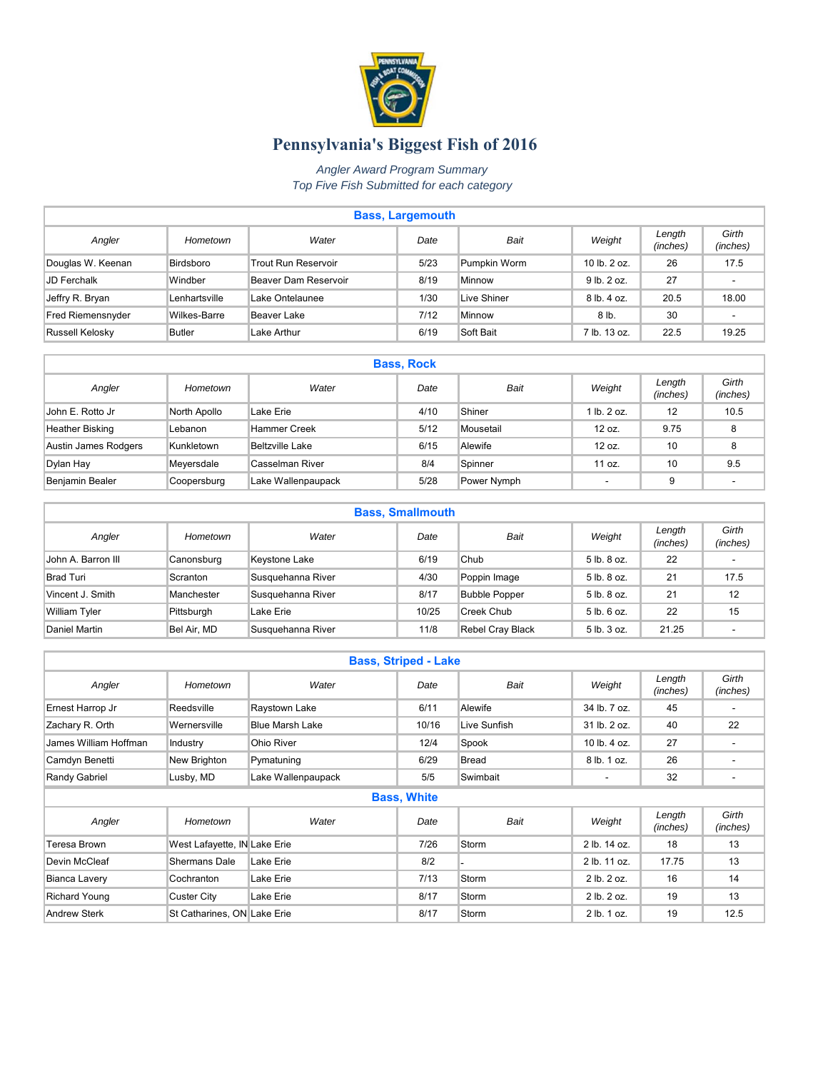

## **Pennsylvania's Biggest Fish of 2016**

*Angler Award Program Summary Top Five Fish Submitted for each category* 

| <b>Bass, Largemouth</b> |               |                      |      |              |                 |                    |                   |  |  |  |
|-------------------------|---------------|----------------------|------|--------------|-----------------|--------------------|-------------------|--|--|--|
| Angler                  | Hometown      | Water                | Date | Bait         | Weight          | Length<br>(inches) | Girth<br>(inches) |  |  |  |
| Douglas W. Keenan       | Birdsboro     | Trout Run Reservoir  | 5/23 | Pumpkin Worm | 10 lb. 2 oz.    | 26                 | 17.5              |  |  |  |
| JD Ferchalk             | Windber       | Beaver Dam Reservoir | 8/19 | Minnow       | $9$ lb. $2$ oz. | 27                 |                   |  |  |  |
| Jeffry R. Bryan         | Lenhartsville | Lake Ontelaunee      | 1/30 | Live Shiner  | $8$ lb, $4$ oz. | 20.5               | 18.00             |  |  |  |
| Fred Riemensnyder       | Wilkes-Barre  | Beaver Lake          | 7/12 | Minnow       | 8 lb.           | 30                 |                   |  |  |  |
| Russell Kelosky         | <b>Butler</b> | Lake Arthur          | 6/19 | Soft Bait    | 7 lb. 13 oz.    | 22.5               | 19.25             |  |  |  |

| <b>Bass, Rock</b>    |              |                        |      |             |             |                    |                   |  |  |  |
|----------------------|--------------|------------------------|------|-------------|-------------|--------------------|-------------------|--|--|--|
| Angler               | Hometown     | Water                  | Date | Bait        | Weight      | Length<br>(inches) | Girth<br>(inches) |  |  |  |
| John E. Rotto Jr     | North Apollo | Lake Erie              | 4/10 | Shiner      | 1 lb. 2 oz. | 12                 | 10.5              |  |  |  |
| Heather Bisking      | Lebanon      | Hammer Creek           | 5/12 | Mousetail   | $12 oz$ .   | 9.75               | 8                 |  |  |  |
| Austin James Rodgers | Kunkletown   | <b>Beltzville Lake</b> | 6/15 | Alewife     | 12 oz.      | 10                 | 8                 |  |  |  |
| Dylan Hay            | Meyersdale   | Casselman River        | 8/4  | Spinner     | 11 oz.      | 10                 | 9.5               |  |  |  |
| Benjamin Bealer      | Coopersburg  | Lake Wallenpaupack     | 5/28 | Power Nymph |             | 9                  |                   |  |  |  |

| <b>Bass, Smallmouth</b>   |             |                   |       |                      |                 |                    |                          |  |  |  |
|---------------------------|-------------|-------------------|-------|----------------------|-----------------|--------------------|--------------------------|--|--|--|
| Angler                    | Hometown    | Water             | Date  | Bait                 | Weight          | Length<br>(inches) | Girth<br>(inches)        |  |  |  |
| <b>John A. Barron III</b> | Canonsburg  | Keystone Lake     | 6/19  | Chub                 | $5$ lb, $8$ oz. | 22                 | ٠                        |  |  |  |
| <b>Brad Turi</b>          | Scranton    | Susquehanna River | 4/30  | Poppin Image         | 5 lb. 8 oz.     | 21                 | 17.5                     |  |  |  |
| Vincent J. Smith          | Manchester  | Susquehanna River | 8/17  | <b>Bubble Popper</b> | 5 lb. 8 oz.     | 21                 | 12                       |  |  |  |
| <b>William Tyler</b>      | Pittsburgh  | Lake Erie         | 10/25 | Creek Chub           | 5 lb. 6 oz.     | 22                 | 15                       |  |  |  |
| Daniel Martin             | Bel Air, MD | Susquehanna River | 11/8  | Rebel Cray Black     | 5 lb. 3 oz.     | 21.25              | $\overline{\phantom{a}}$ |  |  |  |

|                       |                              |                        | <b>Bass, Striped - Lake</b> |              |              |                    |                   |
|-----------------------|------------------------------|------------------------|-----------------------------|--------------|--------------|--------------------|-------------------|
| Angler                | Hometown                     | Water                  | Date                        | <b>Bait</b>  | Weight       | Length<br>(inches) | Girth<br>(inches) |
| Ernest Harrop Jr      | Reedsville                   | Raystown Lake          | 6/11                        | Alewife      | 34 lb. 7 oz. | 45                 |                   |
| Zachary R. Orth       | Wernersville                 | <b>Blue Marsh Lake</b> | 10/16                       | Live Sunfish | 31 lb. 2 oz. | 40                 | 22                |
| James William Hoffman | Industry                     | Ohio River             | 12/4                        | Spook        | 10 lb. 4 oz. | 27                 | ٠                 |
| Camdyn Benetti        | New Brighton                 | Pymatuning             | 6/29                        | <b>Bread</b> | 8 lb. 1 oz.  | 26                 |                   |
| Randy Gabriel         | Lusby, MD                    | Lake Wallenpaupack     | 5/5                         | Swimbait     | ٠            | 32                 |                   |
|                       |                              |                        | <b>Bass, White</b>          |              |              |                    |                   |
| Angler                | Hometown                     | Water                  | Date                        | <b>Bait</b>  | Weight       | Length<br>(inches) | Girth<br>(inches) |
| Teresa Brown          | West Lafayette, IN Lake Erie |                        | 7/26                        | Storm        | 2 lb. 14 oz. | 18                 | 13                |
| Devin McCleaf         | Shermans Dale                | Lake Erie              | 8/2                         |              | 2 lb. 11 oz. | 17.75              | 13                |
| <b>Bianca Lavery</b>  | Cochranton                   | Lake Erie              | 7/13                        | Storm        | 2 lb. 2 oz.  | 16                 | 14                |
| <b>Richard Young</b>  | Custer City                  | Lake Erie              | 8/17                        | Storm        | 2 lb. 2 oz.  | 19                 | 13                |
| <b>Andrew Sterk</b>   | St Catharines, ON Lake Erie  |                        | 8/17                        | Storm        | 2 lb. 1 oz.  | 19                 | 12.5              |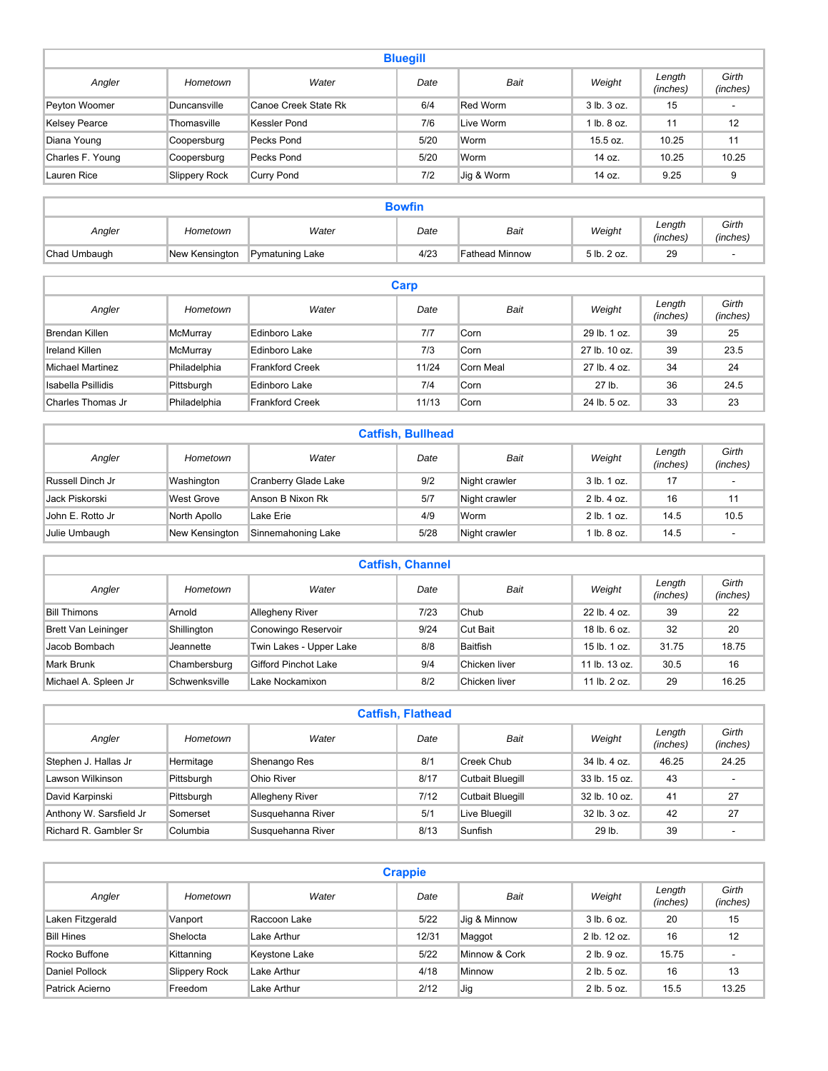| <b>Bluegill</b>      |               |                      |      |            |             |                    |                   |  |  |
|----------------------|---------------|----------------------|------|------------|-------------|--------------------|-------------------|--|--|
| Angler               | Hometown      | Water                | Date | Bait       | Weight      | Length<br>(inches) | Girth<br>(inches) |  |  |
| Peyton Woomer        | Duncansville  | Canoe Creek State Rk | 6/4  | Red Worm   | 3 lb. 3 oz. | 15                 | ٠                 |  |  |
| <b>Kelsey Pearce</b> | Thomasville   | Kessler Pond         | 7/6  | Live Worm  | 1 lb. 8 oz. | 11                 | 12                |  |  |
| Diana Young          | Coopersburg   | Pecks Pond           | 5/20 | Worm       | 15.5 oz.    | 10.25              | 11                |  |  |
| Charles F. Young     | Coopersburg   | Pecks Pond           | 5/20 | Worm       | 14 oz.      | 10.25              | 10.25             |  |  |
| Lauren Rice          | Slippery Rock | <b>Curry Pond</b>    | 7/2  | Jig & Worm | 14 oz.      | 9.25               | 9                 |  |  |

| <b>Bowfin</b> |                |                 |      |                       |             |                    |                   |  |  |
|---------------|----------------|-----------------|------|-----------------------|-------------|--------------------|-------------------|--|--|
| Angler        | Hometown       | Water           | Date | Bait                  | Weight      | Length<br>(inches) | Girth<br>(inches) |  |  |
| Chad Umbaugh  | New Kensington | Pymatuning Lake | 4/23 | <b>Fathead Minnow</b> | 5 lb. 2 oz. | 29                 |                   |  |  |

| Carp               |              |                        |       |           |               |                    |                   |  |  |  |
|--------------------|--------------|------------------------|-------|-----------|---------------|--------------------|-------------------|--|--|--|
| Angler             | Hometown     | Water                  | Date  | Bait      | Weight        | Length<br>(inches) | Girth<br>(inches) |  |  |  |
| Brendan Killen     | McMurray     | Edinboro Lake          | 7/7   | Corn      | 29 lb. 1 oz.  | 39                 | 25                |  |  |  |
| Ireland Killen     | McMurray     | Edinboro Lake          | 7/3   | Corn      | 27 lb. 10 oz. | 39                 | 23.5              |  |  |  |
| Michael Martinez   | Philadelphia | <b>Frankford Creek</b> | 11/24 | Corn Meal | 27 lb. 4 oz.  | 34                 | 24                |  |  |  |
| Isabella Psillidis | Pittsburgh   | Edinboro Lake          | 7/4   | Corn      | 27 lb.        | 36                 | 24.5              |  |  |  |
| Charles Thomas Jr  | Philadelphia | Frankford Creek        | 11/13 | Corn      | 24 lb. 5 oz.  | 33                 | 23                |  |  |  |

| <b>Catfish, Bullhead</b> |                   |                      |      |               |                 |                    |                   |  |  |  |
|--------------------------|-------------------|----------------------|------|---------------|-----------------|--------------------|-------------------|--|--|--|
| Angler                   | Hometown          | Water                | Date | Bait          | Weight          | Length<br>(inches) | Girth<br>(inches) |  |  |  |
| Russell Dinch Jr         | Washington        | Cranberry Glade Lake | 9/2  | Night crawler | $3$ lb. $1$ oz. | 17                 |                   |  |  |  |
| Jack Piskorski           | <b>West Grove</b> | Anson B Nixon Rk     | 5/7  | Night crawler | 2 lb. 4 oz.     | 16                 | 11                |  |  |  |
| John E. Rotto Jr         | North Apollo      | Lake Erie            | 4/9  | Worm          | $2$ lb. $1$ oz. | 14.5               | 10.5              |  |  |  |
| Julie Umbaugh            | New Kensington    | Sinnemahoning Lake   | 5/28 | Night crawler | $1$ lb. $8$ oz. | 14.5               | ٠                 |  |  |  |

| <b>Catfish, Channel</b>    |               |                         |      |               |                  |                    |                   |  |  |  |
|----------------------------|---------------|-------------------------|------|---------------|------------------|--------------------|-------------------|--|--|--|
| Angler                     | Hometown      | Water                   | Date | Bait          | Weight           | Length<br>(inches) | Girth<br>(inches) |  |  |  |
| <b>Bill Thimons</b>        | Arnold        | <b>Allegheny River</b>  | 7/23 | Chub          | 22 lb. 4 oz.     | 39                 | 22                |  |  |  |
| <b>Brett Van Leininger</b> | Shillington   | Conowingo Reservoir     | 9/24 | Cut Bait      | $18$ lb, $6$ oz. | 32                 | 20                |  |  |  |
| Jacob Bombach              | Jeannette     | Twin Lakes - Upper Lake | 8/8  | Baitfish      | $15$ lb. $1$ oz. | 31.75              | 18.75             |  |  |  |
| Mark Brunk                 | Chambersburg  | Gifford Pinchot Lake    | 9/4  | Chicken liver | 11 lb. $13 oz$ . | 30.5               | 16                |  |  |  |
| Michael A. Spleen Jr       | Schwenksville | Lake Nockamixon         | 8/2  | Chicken liver | 11 lb. 2 oz.     | 29                 | 16.25             |  |  |  |

| <b>Catfish, Flathead</b> |            |                        |      |                         |               |                    |                   |  |  |
|--------------------------|------------|------------------------|------|-------------------------|---------------|--------------------|-------------------|--|--|
| Angler                   | Hometown   | Water                  | Date | Bait                    | Weight        | Length<br>(inches) | Girth<br>(inches) |  |  |
| Stephen J. Hallas Jr     | Hermitage  | Shenango Res           | 8/1  | Creek Chub              | 34 lb. 4 oz.  | 46.25              | 24.25             |  |  |
| Lawson Wilkinson         | Pittsburgh | Ohio River             | 8/17 | Cutbait Bluegill        | 33 lb. 15 oz. | 43                 |                   |  |  |
| David Karpinski          | Pittsburgh | <b>Allegheny River</b> | 7/12 | <b>Cutbait Bluegill</b> | 32 lb. 10 oz. | 41                 | 27                |  |  |
| Anthony W. Sarsfield Jr  | Somerset   | Susquehanna River      | 5/1  | Live Bluegill           | 32 lb. 3 oz.  | 42                 | 27                |  |  |
| Richard R. Gambler Sr.   | Columbia   | Susquehanna River      | 8/13 | Sunfish                 | 29 lb.        | 39                 | ٠                 |  |  |

| <b>Crappie</b>    |               |               |        |               |                 |                    |                   |  |  |  |
|-------------------|---------------|---------------|--------|---------------|-----------------|--------------------|-------------------|--|--|--|
| Angler            | Hometown      | Water         | Date   | Bait          | Weight          | Length<br>(inches) | Girth<br>(inches) |  |  |  |
| Laken Fitzgerald  | Vanport       | Raccoon Lake  | $5/22$ | Jig & Minnow  | $3$ lb. $6$ oz. | 20                 | 15                |  |  |  |
| <b>Bill Hines</b> | Shelocta      | Lake Arthur   | 12/31  | Maggot        | 2 lb. 12 oz.    | 16                 | 12                |  |  |  |
| Rocko Buffone     | Kittanning    | Keystone Lake | 5/22   | Minnow & Cork | 2 lb. 9 oz.     | 15.75              |                   |  |  |  |
| Daniel Pollock    | Slippery Rock | Lake Arthur   | 4/18   | Minnow        | $2$ lb. $5$ oz. | 16                 | 13                |  |  |  |
| Patrick Acierno   | Freedom       | Lake Arthur   | 2/12   | Jig           | $2$ lb. $5$ oz. | 15.5               | 13.25             |  |  |  |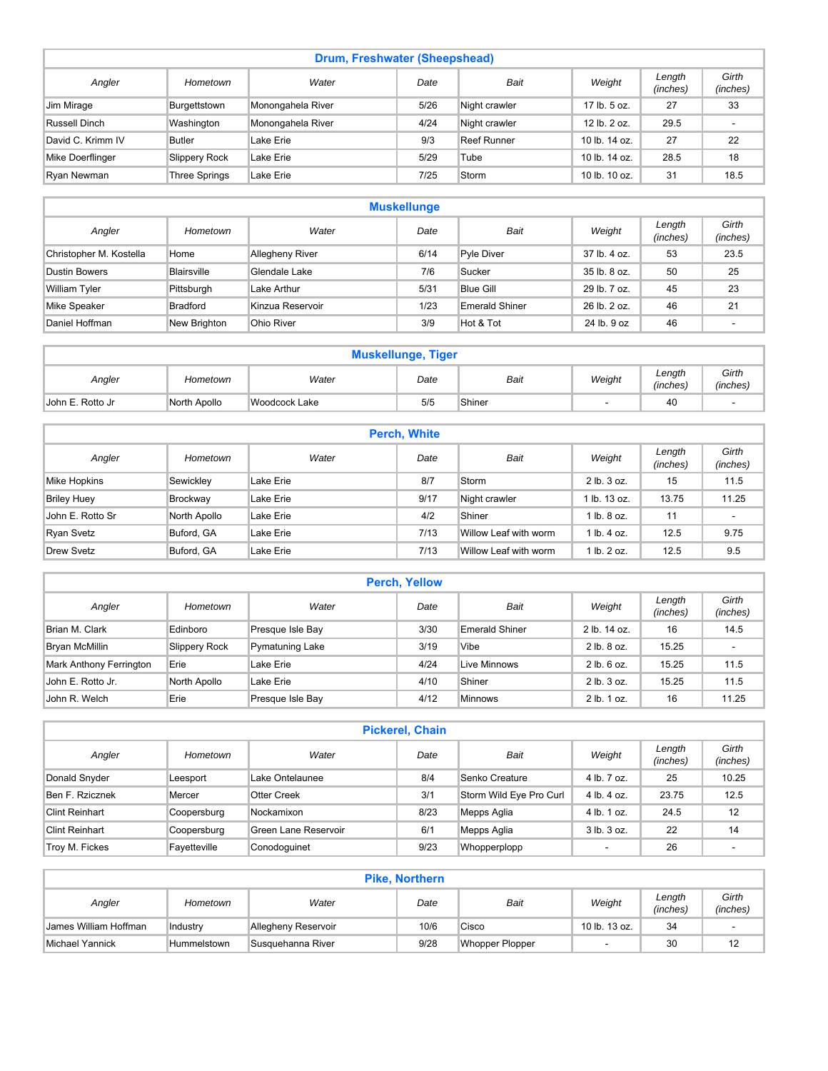| Drum, Freshwater (Sheepshead) |                      |                   |      |               |                 |                    |                   |  |  |  |
|-------------------------------|----------------------|-------------------|------|---------------|-----------------|--------------------|-------------------|--|--|--|
| Angler                        | Hometown             | Water             | Date | Bait          | Weight          | Length<br>(inches) | Girth<br>(inches) |  |  |  |
| Jim Mirage                    | Burgettstown         | Monongahela River | 5/26 | Night crawler | 17 lb. 5 oz.    | 27                 | 33                |  |  |  |
| Russell Dinch                 | Washington           | Monongahela River | 4/24 | Night crawler | 12 lb. 2 oz.    | 29.5               |                   |  |  |  |
| David C. Krimm IV             | <b>Butler</b>        | Lake Erie         | 9/3  | Reef Runner   | 10 lb. 14 oz.   | 27                 | 22                |  |  |  |
| Mike Doerflinger              | Slippery Rock        | Lake Erie         | 5/29 | Tube          | 10 lb. 14 oz.   | 28.5               | 18                |  |  |  |
| Ryan Newman                   | <b>Three Springs</b> | Lake Erie         | 7/25 | Storm         | 10 lb. $10$ oz. | 31                 | 18.5              |  |  |  |

| <b>Muskellunge</b>      |                 |                        |      |                  |              |                    |                   |  |  |  |
|-------------------------|-----------------|------------------------|------|------------------|--------------|--------------------|-------------------|--|--|--|
| Angler                  | Hometown        | Water                  | Date | Bait             | Weight       | Length<br>(inches) | Girth<br>(inches) |  |  |  |
| Christopher M. Kostella | Home            | <b>Allegheny River</b> | 6/14 | Pyle Diver       | 37 lb. 4 oz. | 53                 | 23.5              |  |  |  |
| <b>Dustin Bowers</b>    | Blairsville     | Glendale Lake          | 7/6  | Sucker           | 35 lb. 8 oz. | 50                 | 25                |  |  |  |
| <b>William Tyler</b>    | Pittsburgh      | Lake Arthur            | 5/31 | <b>Blue Gill</b> | 29 lb. 7 oz. | 45                 | 23                |  |  |  |
| Mike Speaker            | <b>Bradford</b> | Kinzua Reservoir       | 1/23 | Emerald Shiner   | 26 lb. 2 oz. | 46                 | 21                |  |  |  |
| Daniel Hoffman          | New Brighton    | Ohio River             | 3/9  | Hot & Tot        | 24 lb. 9 oz  | 46                 |                   |  |  |  |

| <b>Muskellunge, Tiger</b> |              |               |      |        |        |                    |                   |  |  |
|---------------------------|--------------|---------------|------|--------|--------|--------------------|-------------------|--|--|
| Angler                    | Hometown     | Water         | Date | Bait   | Weight | Length<br>(inches) | Girth<br>(inches) |  |  |
| IJohn E. Rotto Jr         | North Apollo | Woodcock Lake | 5/5  | Shiner |        | 40                 |                   |  |  |

| <b>Perch, White</b> |              |           |      |                       |                 |                    |                   |  |  |  |
|---------------------|--------------|-----------|------|-----------------------|-----------------|--------------------|-------------------|--|--|--|
| Angler              | Hometown     | Water     | Date | Bait                  | Weight          | Length<br>(inches) | Girth<br>(inches) |  |  |  |
| Mike Hopkins        | Sewickley    | Lake Erie | 8/7  | Storm                 | 2 lb. 3 oz.     | 15                 | 11.5              |  |  |  |
| <b>Briley Huey</b>  | Brockway     | Lake Erie | 9/17 | Night crawler         | l lb. 13 oz.    | 13.75              | 11.25             |  |  |  |
| John E. Rotto Sr    | North Apollo | Lake Erie | 4/2  | Shiner                | 1 lb. 8 oz.     | 11                 | $\sim$            |  |  |  |
| Ryan Svetz          | Buford, GA   | Lake Erie | 7/13 | Willow Leaf with worm | $1$ lb. $4$ oz. | 12.5               | 9.75              |  |  |  |
| Drew Svetz          | Buford, GA   | Lake Erie | 7/13 | Willow Leaf with worm | $1$ lb. $2$ oz. | 12.5               | 9.5               |  |  |  |

| <b>Perch, Yellow</b>    |               |                  |      |                |                 |                    |                   |  |  |
|-------------------------|---------------|------------------|------|----------------|-----------------|--------------------|-------------------|--|--|
| Angler                  | Hometown      | Water            | Date | Bait           | Weight          | Length<br>(inches) | Girth<br>(inches) |  |  |
| Brian M. Clark          | Edinboro      | Presque Isle Bay | 3/30 | Emerald Shiner | 2 lb. 14 oz.    | 16                 | 14.5              |  |  |
| Bryan McMillin          | Slippery Rock | Pymatuning Lake  | 3/19 | Vibe           | 2 lb. 8 oz.     | 15.25              |                   |  |  |
| Mark Anthony Ferrington | Erie          | Lake Erie        | 4/24 | Live Minnows   | 2 lb. 6 oz.     | 15.25              | 11.5              |  |  |
| John E. Rotto Jr.       | North Apollo  | Lake Erie        | 4/10 | Shiner         | $2$ lb. $3$ oz. | 15.25              | 11.5              |  |  |
| John R. Welch           | Erie          | Presque Isle Bay | 4/12 | <b>Minnows</b> | $2$ lb. $1$ oz. | 16                 | 11.25             |  |  |

| <b>Pickerel, Chain</b> |              |                      |      |                         |             |                    |                   |  |  |  |
|------------------------|--------------|----------------------|------|-------------------------|-------------|--------------------|-------------------|--|--|--|
| Angler                 | Hometown     | Water                | Date | Bait                    | Weight      | Length<br>(inches) | Girth<br>(inches) |  |  |  |
| Donald Snyder          | Leesport     | Lake Ontelaunee      | 8/4  | Senko Creature          | 4 lb. 7 oz. | 25                 | 10.25             |  |  |  |
| Ben F. Rzicznek        | Mercer       | Otter Creek          | 3/1  | Storm Wild Eye Pro Curl | 4 lb. 4 oz. | 23.75              | 12.5              |  |  |  |
| Clint Reinhart         | Coopersburg  | Nockamixon           | 8/23 | Mepps Aglia             | 4 lb. 1 oz. | 24.5               | 12                |  |  |  |
| <b>Clint Reinhart</b>  | Coopersburg  | Green Lane Reservoir | 6/1  | Mepps Aglia             | 3 lb. 3 oz. | 22                 | 14                |  |  |  |
| Troy M. Fickes         | Fayetteville | Conodoguinet         | 9/23 | Whopperplopp            | ۰           | 26                 | ۰                 |  |  |  |

| <b>Pike, Northern</b>                                                                                   |                    |                     |      |                 |                          |    |    |  |
|---------------------------------------------------------------------------------------------------------|--------------------|---------------------|------|-----------------|--------------------------|----|----|--|
| Girth<br>Length<br>Weight<br><b>Bait</b><br>Water<br>Angler<br>Date<br>Hometown<br>(inches)<br>(inches) |                    |                     |      |                 |                          |    |    |  |
| James William Hoffman                                                                                   | Industry           | Allegheny Reservoir | 10/6 | Cisco           | 10 lb. 13 oz.            | 34 | ۰  |  |
| Michael Yannick                                                                                         | <b>Hummelstown</b> | Susquehanna River   | 9/28 | Whopper Plopper | $\overline{\phantom{a}}$ | 30 | 12 |  |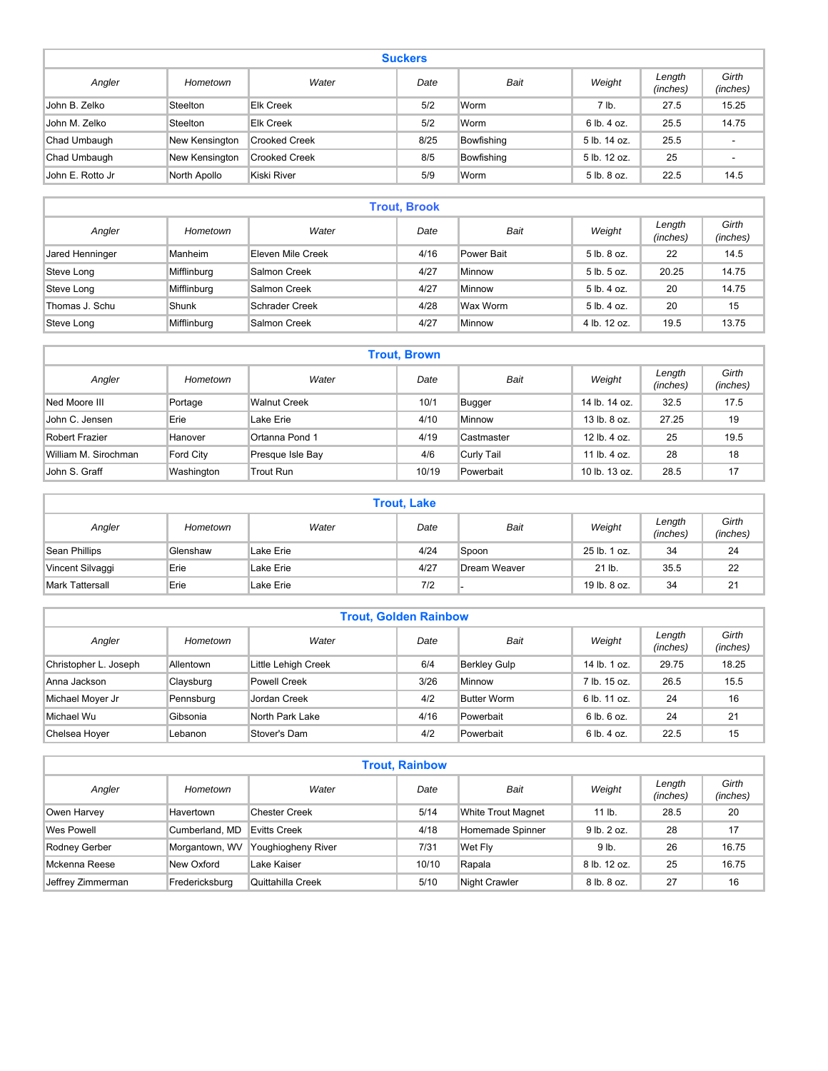| <b>Suckers</b>   |                |                      |      |            |              |                    |                          |  |  |
|------------------|----------------|----------------------|------|------------|--------------|--------------------|--------------------------|--|--|
| Angler           | Hometown       | Water                | Date | Bait       | Weight       | Length<br>(inches) | Girth<br>(inches)        |  |  |
| John B. Zelko    | Steelton       | <b>Elk Creek</b>     | 5/2  | Worm       | 7 lb.        | 27.5               | 15.25                    |  |  |
| John M. Zelko    | Steelton       | <b>Elk Creek</b>     | 5/2  | Worm       | 6 lb. 4 oz.  | 25.5               | 14.75                    |  |  |
| Chad Umbaugh     | New Kensington | <b>Crooked Creek</b> | 8/25 | Bowfishing | 5 lb. 14 oz. | 25.5               | ٠.                       |  |  |
| Chad Umbaugh     | New Kensington | <b>Crooked Creek</b> | 8/5  | Bowfishing | 5 lb. 12 oz. | 25                 | $\overline{\phantom{a}}$ |  |  |
| John E. Rotto Jr | North Apollo   | Kiski River          | 5/9  | Worm       | 5 lb. 8 oz.  | 22.5               | 14.5                     |  |  |

| <b>Trout, Brook</b> |             |                       |      |            |              |                    |                   |  |  |  |
|---------------------|-------------|-----------------------|------|------------|--------------|--------------------|-------------------|--|--|--|
| Angler              | Hometown    | Water                 | Date | Bait       | Weight       | Length<br>(inches) | Girth<br>(inches) |  |  |  |
| Jared Henninger     | Manheim     | Eleven Mile Creek     | 4/16 | Power Bait | 5 lb. 8 oz.  | 22                 | 14.5              |  |  |  |
| Steve Long          | Mifflinburg | Salmon Creek          | 4/27 | Minnow     | 5 lb. 5 oz.  | 20.25              | 14.75             |  |  |  |
| Steve Long          | Mifflinburg | Salmon Creek          | 4/27 | Minnow     | 5 lb. 4 oz.  | 20                 | 14.75             |  |  |  |
| Thomas J. Schu      | Shunk       | <b>Schrader Creek</b> | 4/28 | Wax Worm   | 5 lb. 4 oz.  | 20                 | 15                |  |  |  |
| Steve Long          | Mifflinburg | Salmon Creek          | 4/27 | Minnow     | 4 lb. 12 oz. | 19.5               | 13.75             |  |  |  |

| <b>Trout, Brown</b>  |            |                     |       |               |                          |                    |                   |  |  |
|----------------------|------------|---------------------|-------|---------------|--------------------------|--------------------|-------------------|--|--|
| Angler               | Hometown   | Water               | Date  | Bait          | Weight                   | Length<br>(inches) | Girth<br>(inches) |  |  |
| Ned Moore III        | Portage    | <b>Walnut Creek</b> | 10/1  | <b>Bugger</b> | 14 lb. 14 oz.            | 32.5               | 17.5              |  |  |
| John C. Jensen       | Erie       | Lake Erie           | 4/10  | Minnow        | 13 lb. 8 oz.             | 27.25              | 19                |  |  |
| Robert Frazier       | Hanover    | Ortanna Pond 1      | 4/19  | Castmaster    | 12 lb. 4 oz.             | 25                 | 19.5              |  |  |
| William M. Sirochman | Ford City  | Presque Isle Bay    | 4/6   | Curly Tail    | 11 $\mathsf{lb}$ . 4 oz. | 28                 | 18                |  |  |
| John S. Graff        | Washington | Trout Run           | 10/19 | Powerbait     | 10 lb. 13 oz.            | 28.5               | 17                |  |  |

|                        | <b>Trout, Lake</b> |           |      |              |              |                    |                   |  |  |  |
|------------------------|--------------------|-----------|------|--------------|--------------|--------------------|-------------------|--|--|--|
| Angler                 | Hometown           | Water     | Date | Bait         | Weight       | Length<br>(inches) | Girth<br>(inches) |  |  |  |
| Sean Phillips          | Glenshaw           | Lake Erie | 4/24 | Spoon        | 25 lb. 1 oz. | 34                 | 24                |  |  |  |
| Vincent Silvaggi       | Erie               | Lake Erie | 4/27 | Dream Weaver | 21 lb.       | 35.5               | 22                |  |  |  |
| <b>Mark Tattersall</b> | Erie               | Lake Erie | 7/2  |              | 19 lb. 8 oz. | 34                 | 21                |  |  |  |

| <b>Trout, Golden Rainbow</b> |           |                     |      |                     |              |                    |                   |  |  |  |
|------------------------------|-----------|---------------------|------|---------------------|--------------|--------------------|-------------------|--|--|--|
| Angler                       | Hometown  | Water               | Date | <b>Bait</b>         | Weight       | Length<br>(inches) | Girth<br>(inches) |  |  |  |
| Christopher L. Joseph        | Allentown | Little Lehigh Creek | 6/4  | <b>Berkley Gulp</b> | 14 lb. 1 oz. | 29.75              | 18.25             |  |  |  |
| Anna Jackson                 | Claysburg | Powell Creek        | 3/26 | Minnow              | 7 lb. 15 oz. | 26.5               | 15.5              |  |  |  |
| Michael Moyer Jr             | Pennsburg | <b>Jordan Creek</b> | 4/2  | <b>Butter Worm</b>  | 6 lb. 11 oz. | 24                 | 16                |  |  |  |
| Michael Wu                   | Gibsonia  | North Park Lake     | 4/16 | Powerbait           | 6 lb. 6 oz.  | 24                 | 21                |  |  |  |
| Chelsea Hover                | Lebanon   | Stover's Dam        | 4/2  | Powerbait           | 6 lb. 4 oz.  | 22.5               | 15                |  |  |  |

| <b>Trout, Rainbow</b> |                |                      |       |                           |                 |                    |                   |  |  |  |
|-----------------------|----------------|----------------------|-------|---------------------------|-----------------|--------------------|-------------------|--|--|--|
| Angler                | Hometown       | Water                | Date  | Bait                      | Weight          | Length<br>(inches) | Girth<br>(inches) |  |  |  |
| Owen Harvey           | Havertown      | <b>Chester Creek</b> | 5/14  | <b>White Trout Magnet</b> | $11$ lb.        | 28.5               | 20                |  |  |  |
| Wes Powell            | Cumberland, MD | Evitts Creek         | 4/18  | Homemade Spinner          | $9$ lb. $2$ oz. | 28                 | 17                |  |  |  |
| Rodney Gerber         | Morgantown, WV | Youghiogheny River   | 7/31  | Wet Fly                   | 9 lb.           | 26                 | 16.75             |  |  |  |
| Mckenna Reese         | New Oxford     | Lake Kaiser          | 10/10 | Rapala                    | 8 lb. 12 oz.    | 25                 | 16.75             |  |  |  |
| Jeffrey Zimmerman     | Fredericksburg | Quittahilla Creek    | 5/10  | <b>Night Crawler</b>      | 8 lb. 8 oz.     | 27                 | 16                |  |  |  |